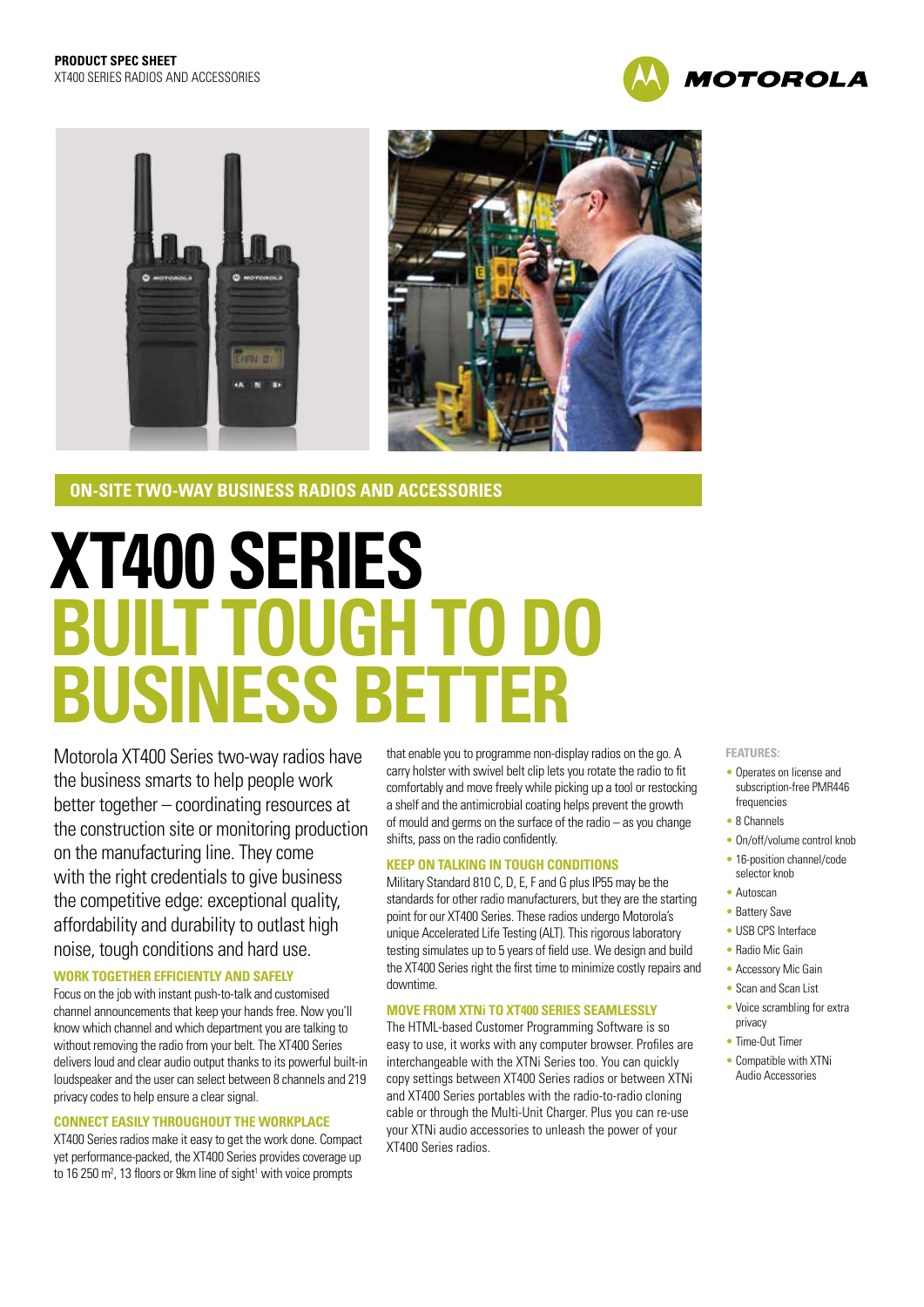



# **ON-SITE TWO-WAY BUSINESS RADIOS AND ACCESSORIES**

# **XT400 SERIES BUILT TOUGH TO DO BUSINESS BETTER**

Motorola XT400 Series two-way radios have the business smarts to help people work better together – coordinating resources at the construction site or monitoring production on the manufacturing line. They come with the right credentials to give business the competitive edge: exceptional quality, affordability and durability to outlast high noise, tough conditions and hard use.

# **WORK TOGETHER EFFICIENTLY AND SAFELY**

Focus on the job with instant push-to-talk and customised channel announcements that keep your hands free. Now you'll know which channel and which department you are talking to without removing the radio from your belt. The XT400 Series delivers loud and clear audio output thanks to its powerful built-in loudspeaker and the user can select between 8 channels and 219 privacy codes to help ensure a clear signal.

## **CONNECT EASILY THROUGHOUT THE WORKPLACE**

XT400 Series radios make it easy to get the work done. Compact yet performance-packed, the XT400 Series provides coverage up to 16 250  $m^2$ , 13 floors or 9km line of sight<sup>1</sup> with voice prompts

that enable you to programme non-display radios on the go. A carry holster with swivel belt clip lets you rotate the radio to fit comfortably and move freely while picking up a tool or restocking a shelf and the antimicrobial coating helps prevent the growth of mould and germs on the surface of the radio – as you change shifts, pass on the radio confidently.

## **KEEP ON TALKING IN TOUGH CONDITIONS**

Military Standard 810 C, D, E, F and G plus IP55 may be the standards for other radio manufacturers, but they are the starting point for our XT400 Series. These radios undergo Motorola's unique Accelerated Life Testing (ALT). This rigorous laboratory testing simulates up to 5 years of field use. We design and build the XT400 Series right the first time to minimize costly repairs and downtime.

## **MOVE FROM XTNi TO XT400 SERIES SEAMLESSLY**

The HTML-based Customer Programming Software is so easy to use, it works with any computer browser. Profiles are interchangeable with the XTNi Series too. You can quickly copy settings between XT400 Series radios or between XTNi and XT400 Series portables with the radio-to-radio cloning cable or through the Multi-Unit Charger. Plus you can re-use your XTNi audio accessories to unleash the power of your XT400 Series radios.

#### **FEATURES:**

- Operates on license and subscription-free PMR446 frequencies
- 8 Channels
- On/off/volume control knob
- 16-position channel/code selector knob
- Autoscan
- Battery Save
- USB CPS Interface
- Radio Mic Gain
- Accessory Mic Gain
- Scan and Scan List
- 
- Voice scrambling for extra privacy
- Time-Out Timer
- Compatible with XTNi Audio Accessories